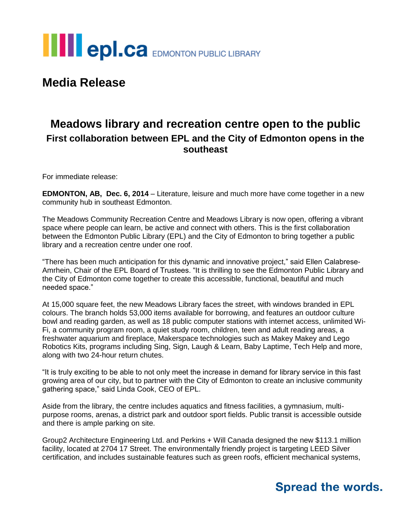

**Media Release**

### **Meadows library and recreation centre open to the public First collaboration between EPL and the City of Edmonton opens in the southeast**

For immediate release:

**EDMONTON, AB, Dec. 6, 2014** – Literature, leisure and much more have come together in a new community hub in southeast Edmonton.

The Meadows Community Recreation Centre and Meadows Library is now open, offering a vibrant space where people can learn, be active and connect with others. This is the first collaboration between the Edmonton Public Library (EPL) and the City of Edmonton to bring together a public library and a recreation centre under one roof.

"There has been much anticipation for this dynamic and innovative project," said Ellen Calabrese-Amrhein, Chair of the EPL Board of Trustees. "It is thrilling to see the Edmonton Public Library and the City of Edmonton come together to create this accessible, functional, beautiful and much needed space."

At 15,000 square feet, the new Meadows Library faces the street, with windows branded in EPL colours. The branch holds 53,000 items available for borrowing, and features an outdoor culture bowl and reading garden, as well as 18 public computer stations with internet access, unlimited Wi-Fi, a community program room, a quiet study room, children, teen and adult reading areas, a freshwater aquarium and fireplace, Makerspace technologies such as Makey Makey and Lego Robotics Kits, programs including Sing, Sign, Laugh & Learn, Baby Laptime, Tech Help and more, along with two 24-hour return chutes.

"It is truly exciting to be able to not only meet the increase in demand for library service in this fast growing area of our city, but to partner with the City of Edmonton to create an inclusive community gathering space," said Linda Cook, CEO of EPL.

Aside from the library, the centre includes aquatics and fitness facilities, a gymnasium, multipurpose rooms, arenas, a district park and outdoor sport fields. Public transit is accessible outside and there is ample parking on site.

Group2 Architecture Engineering Ltd. and Perkins + Will Canada designed the new \$113.1 million facility, located at 2704 17 Street. The environmentally friendly project is targeting LEED Silver certification, and includes sustainable features such as green roofs, efficient mechanical systems,

## **Spread the words.**